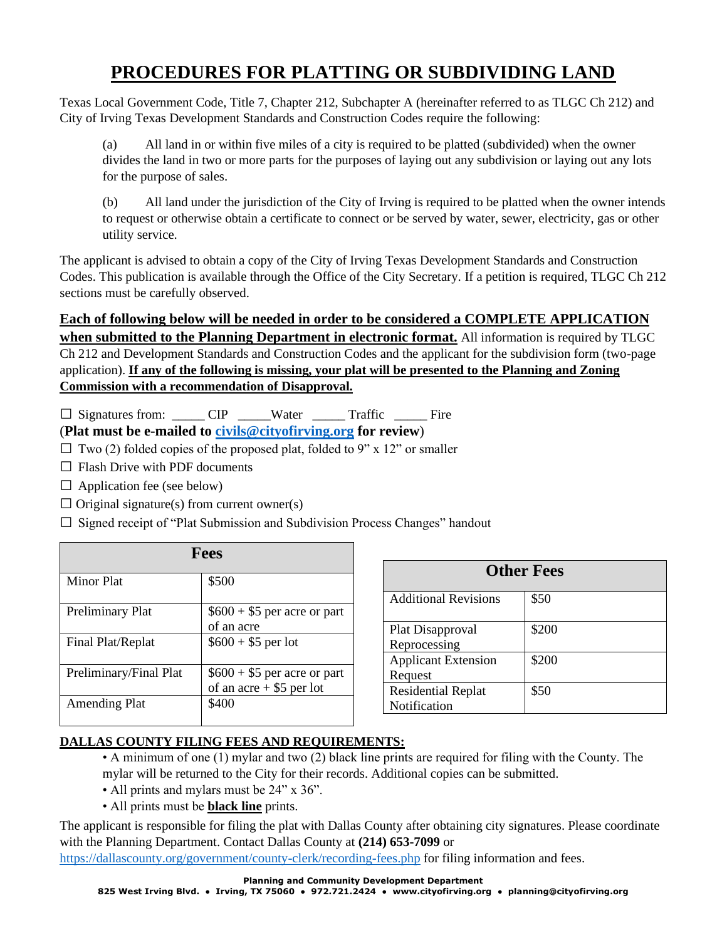## **PROCEDURES FOR PLATTING OR SUBDIVIDING LAND**

Texas Local Government Code, Title 7, Chapter 212, Subchapter A (hereinafter referred to as TLGC Ch 212) and City of Irving Texas Development Standards and Construction Codes require the following:

(a) All land in or within five miles of a city is required to be platted (subdivided) when the owner divides the land in two or more parts for the purposes of laying out any subdivision or laying out any lots for the purpose of sales.

(b) All land under the jurisdiction of the City of Irving is required to be platted when the owner intends to request or otherwise obtain a certificate to connect or be served by water, sewer, electricity, gas or other utility service.

The applicant is advised to obtain a copy of the City of Irving Texas Development Standards and Construction Codes. This publication is available through the Office of the City Secretary. If a petition is required, TLGC Ch 212 sections must be carefully observed.

## **Each of following below will be needed in order to be considered a COMPLETE APPLICATION when submitted to the Planning Department in electronic format.** All information is required by TLGC Ch 212 and Development Standards and Construction Codes and the applicant for the subdivision form (two-page application). **If any of the following is missing, your plat will be presented to the Planning and Zoning Commission with a recommendation of Disapproval.**

 $\Box$  Signatures from:  $\Box$  CIP Water Traffic Fire

(**Plat must be e-mailed to [civils@cityofirving.org](mailto:civils@cityofirving.org) for review**)

- $\square$  Two (2) folded copies of the proposed plat, folded to 9" x 12" or smaller
- $\Box$  Flash Drive with PDF documents
- $\Box$  Application fee (see below)
- $\Box$  Original signature(s) from current owner(s)

 $\square$  Signed receipt of "Plat Submission and Subdivision Process Changes" handout

| <b>Fees</b>            |                                                            |
|------------------------|------------------------------------------------------------|
| Minor Plat             | \$500                                                      |
| Preliminary Plat       | $$600 + $5$ per acre or part<br>of an acre                 |
| Final Plat/Replat      | $$600 + $5$ per lot                                        |
| Preliminary/Final Plat | $$600 + $5$ per acre or part<br>of an acre $+$ \$5 per lot |
| <b>Amending Plat</b>   | \$400                                                      |

| <b>Other Fees</b>                         |       |
|-------------------------------------------|-------|
| <b>Additional Revisions</b>               | \$50  |
| Plat Disapproval<br>Reprocessing          | \$200 |
| <b>Applicant Extension</b><br>Request     | \$200 |
| <b>Residential Replat</b><br>Notification | \$50  |

## **DALLAS COUNTY FILING FEES AND REQUIREMENTS:**

- A minimum of one (1) mylar and two (2) black line prints are required for filing with the County. The mylar will be returned to the City for their records. Additional copies can be submitted.
- All prints and mylars must be 24" x 36".
- All prints must be **black line** prints.

The applicant is responsible for filing the plat with Dallas County after obtaining city signatures. Please coordinate with the Planning Department. Contact Dallas County at **(214) 653-7099** or

<https://dallascounty.org/government/county-clerk/recording-fees.php> for filing information and fees.